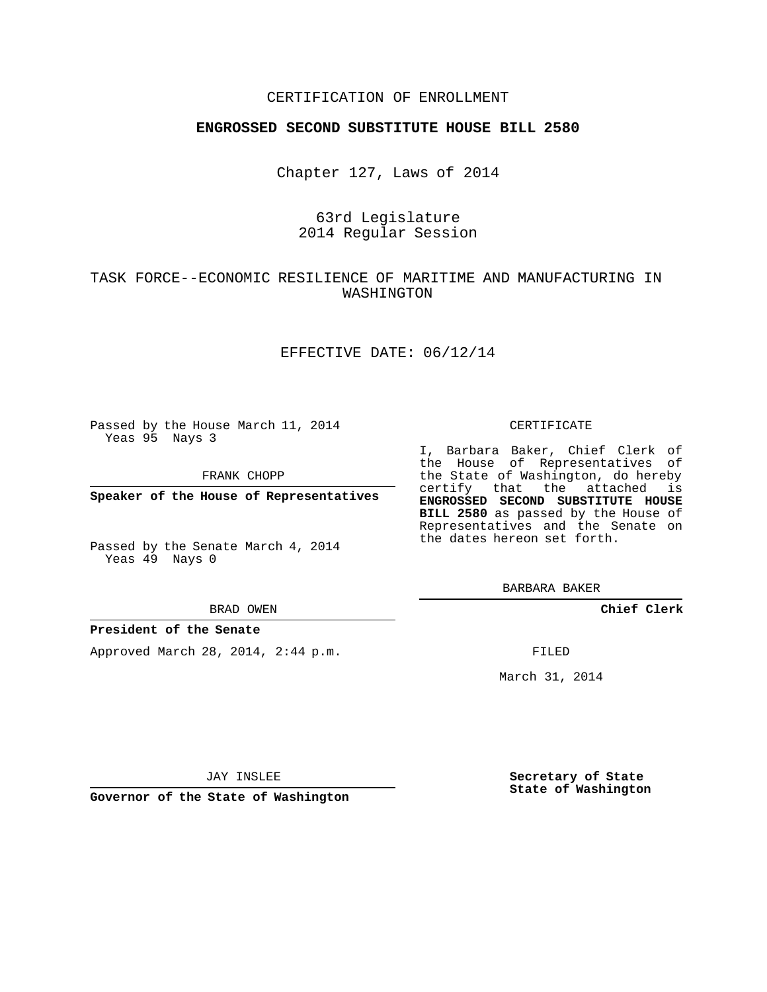## CERTIFICATION OF ENROLLMENT

### **ENGROSSED SECOND SUBSTITUTE HOUSE BILL 2580**

Chapter 127, Laws of 2014

## 63rd Legislature 2014 Regular Session

# TASK FORCE--ECONOMIC RESILIENCE OF MARITIME AND MANUFACTURING IN WASHINGTON

### EFFECTIVE DATE: 06/12/14

Passed by the House March 11, 2014 Yeas 95 Nays 3

FRANK CHOPP

**Speaker of the House of Representatives**

Passed by the Senate March 4, 2014 Yeas 49 Nays 0

#### BRAD OWEN

#### **President of the Senate**

Approved March 28, 2014, 2:44 p.m.

#### CERTIFICATE

I, Barbara Baker, Chief Clerk of the House of Representatives of the State of Washington, do hereby certify that the attached is **ENGROSSED SECOND SUBSTITUTE HOUSE BILL 2580** as passed by the House of Representatives and the Senate on the dates hereon set forth.

BARBARA BAKER

**Chief Clerk**

FILED

March 31, 2014

JAY INSLEE

**Governor of the State of Washington**

**Secretary of State State of Washington**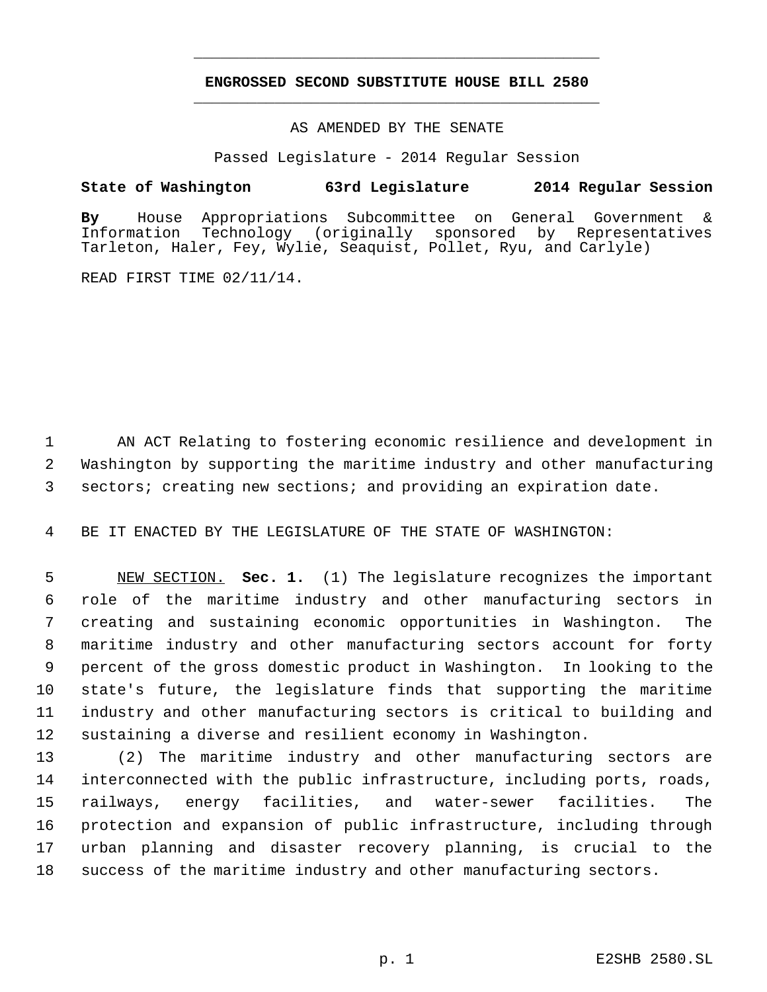# **ENGROSSED SECOND SUBSTITUTE HOUSE BILL 2580** \_\_\_\_\_\_\_\_\_\_\_\_\_\_\_\_\_\_\_\_\_\_\_\_\_\_\_\_\_\_\_\_\_\_\_\_\_\_\_\_\_\_\_\_\_

\_\_\_\_\_\_\_\_\_\_\_\_\_\_\_\_\_\_\_\_\_\_\_\_\_\_\_\_\_\_\_\_\_\_\_\_\_\_\_\_\_\_\_\_\_

### AS AMENDED BY THE SENATE

Passed Legislature - 2014 Regular Session

## **State of Washington 63rd Legislature 2014 Regular Session**

**By** House Appropriations Subcommittee on General Government & Information Technology (originally sponsored by Tarleton, Haler, Fey, Wylie, Seaquist, Pollet, Ryu, and Carlyle)

READ FIRST TIME 02/11/14.

 AN ACT Relating to fostering economic resilience and development in Washington by supporting the maritime industry and other manufacturing sectors; creating new sections; and providing an expiration date.

BE IT ENACTED BY THE LEGISLATURE OF THE STATE OF WASHINGTON:

 NEW SECTION. **Sec. 1.** (1) The legislature recognizes the important role of the maritime industry and other manufacturing sectors in creating and sustaining economic opportunities in Washington. The maritime industry and other manufacturing sectors account for forty percent of the gross domestic product in Washington. In looking to the state's future, the legislature finds that supporting the maritime industry and other manufacturing sectors is critical to building and sustaining a diverse and resilient economy in Washington.

 (2) The maritime industry and other manufacturing sectors are interconnected with the public infrastructure, including ports, roads, railways, energy facilities, and water-sewer facilities. The protection and expansion of public infrastructure, including through urban planning and disaster recovery planning, is crucial to the success of the maritime industry and other manufacturing sectors.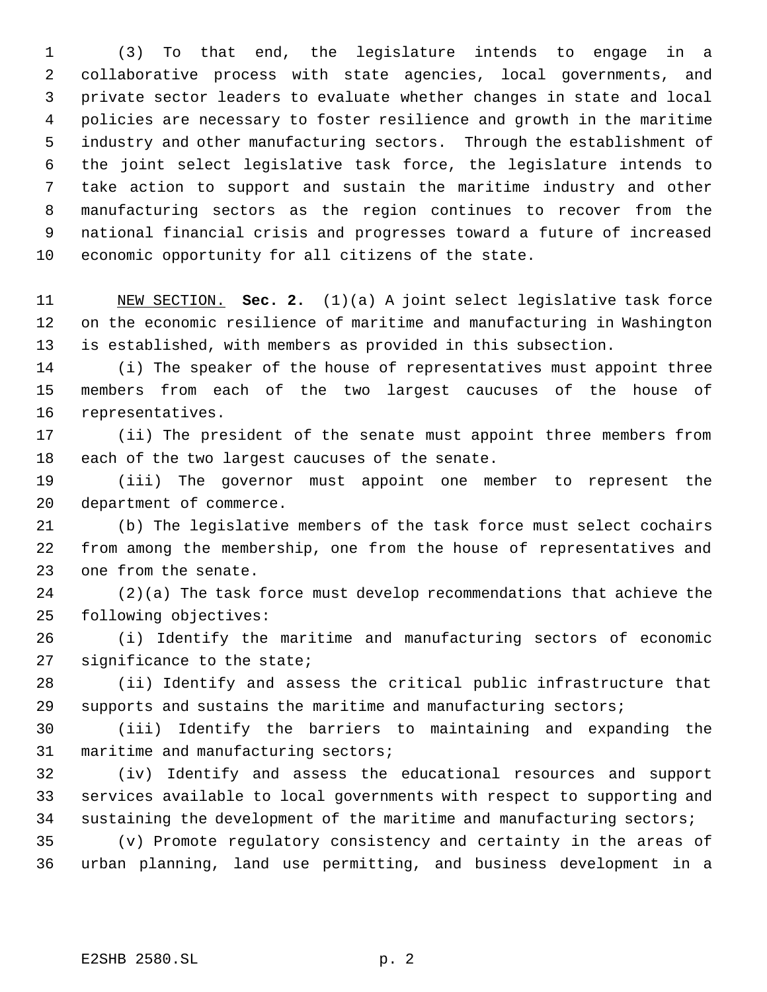(3) To that end, the legislature intends to engage in a collaborative process with state agencies, local governments, and private sector leaders to evaluate whether changes in state and local policies are necessary to foster resilience and growth in the maritime industry and other manufacturing sectors. Through the establishment of the joint select legislative task force, the legislature intends to take action to support and sustain the maritime industry and other manufacturing sectors as the region continues to recover from the national financial crisis and progresses toward a future of increased economic opportunity for all citizens of the state.

 NEW SECTION. **Sec. 2.** (1)(a) A joint select legislative task force on the economic resilience of maritime and manufacturing in Washington is established, with members as provided in this subsection.

 (i) The speaker of the house of representatives must appoint three members from each of the two largest caucuses of the house of representatives.

 (ii) The president of the senate must appoint three members from each of the two largest caucuses of the senate.

 (iii) The governor must appoint one member to represent the department of commerce.

 (b) The legislative members of the task force must select cochairs from among the membership, one from the house of representatives and one from the senate.

 (2)(a) The task force must develop recommendations that achieve the following objectives:

 (i) Identify the maritime and manufacturing sectors of economic significance to the state;

 (ii) Identify and assess the critical public infrastructure that supports and sustains the maritime and manufacturing sectors;

 (iii) Identify the barriers to maintaining and expanding the 31 maritime and manufacturing sectors;

 (iv) Identify and assess the educational resources and support services available to local governments with respect to supporting and 34 sustaining the development of the maritime and manufacturing sectors;

 (v) Promote regulatory consistency and certainty in the areas of urban planning, land use permitting, and business development in a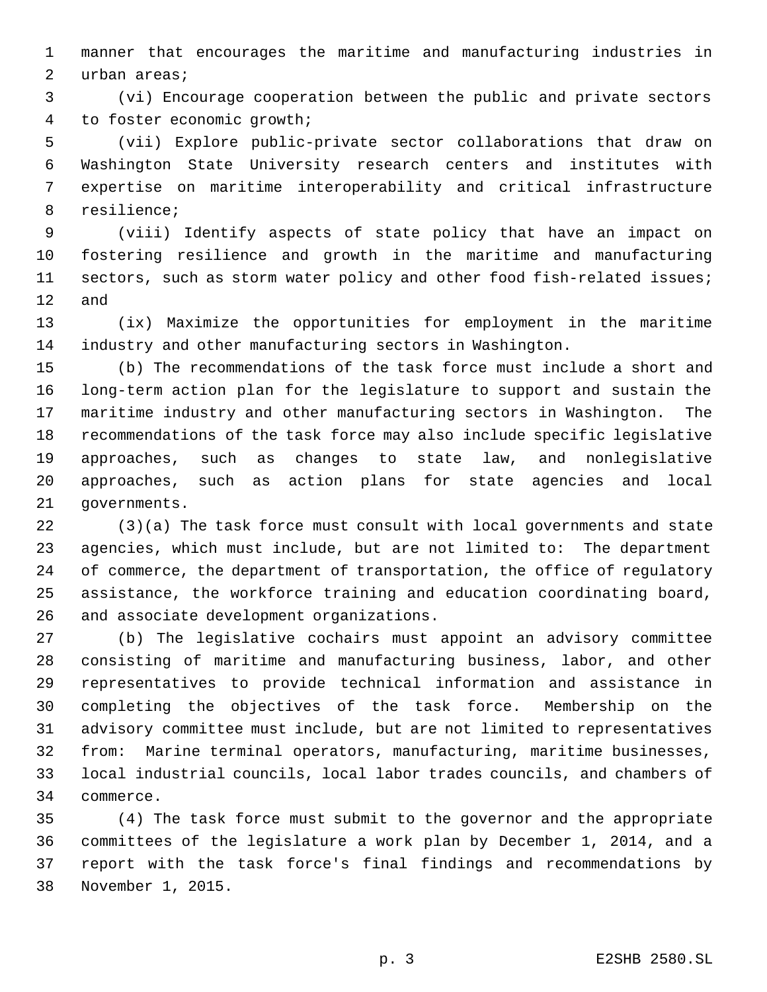manner that encourages the maritime and manufacturing industries in urban areas;

 (vi) Encourage cooperation between the public and private sectors to foster economic growth;

 (vii) Explore public-private sector collaborations that draw on Washington State University research centers and institutes with expertise on maritime interoperability and critical infrastructure resilience;

 (viii) Identify aspects of state policy that have an impact on fostering resilience and growth in the maritime and manufacturing sectors, such as storm water policy and other food fish-related issues; and

 (ix) Maximize the opportunities for employment in the maritime industry and other manufacturing sectors in Washington.

 (b) The recommendations of the task force must include a short and long-term action plan for the legislature to support and sustain the maritime industry and other manufacturing sectors in Washington. The recommendations of the task force may also include specific legislative approaches, such as changes to state law, and nonlegislative approaches, such as action plans for state agencies and local governments.

 (3)(a) The task force must consult with local governments and state agencies, which must include, but are not limited to: The department of commerce, the department of transportation, the office of regulatory assistance, the workforce training and education coordinating board, and associate development organizations.

 (b) The legislative cochairs must appoint an advisory committee consisting of maritime and manufacturing business, labor, and other representatives to provide technical information and assistance in completing the objectives of the task force. Membership on the advisory committee must include, but are not limited to representatives from: Marine terminal operators, manufacturing, maritime businesses, local industrial councils, local labor trades councils, and chambers of commerce.

 (4) The task force must submit to the governor and the appropriate committees of the legislature a work plan by December 1, 2014, and a report with the task force's final findings and recommendations by November 1, 2015.